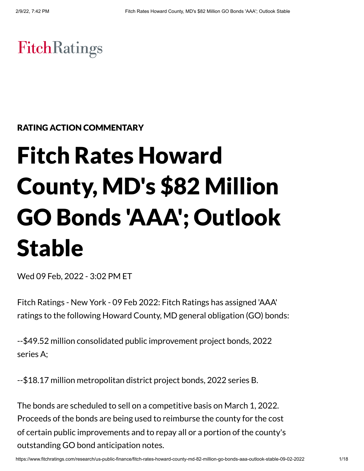# **FitchRatings**

RATING ACTION COMMENTARY

# Fitch Rates Howard County, MD's \$82 Million GO Bonds 'AAA'; Outlook Stable

Wed 09 Feb, 2022 - 3:02 PM ET

Fitch Ratings - New York - 09 Feb 2022: Fitch Ratings has assigned 'AAA' ratings to the following Howard County, MD general obligation (GO) bonds:

--\$49.52 million consolidated public improvement project bonds, 2022 series A;

--\$18.17 million metropolitan district project bonds, 2022 series B.

The bonds are scheduled to sell on a competitive basis on March 1, 2022. Proceeds of the bonds are being used to reimburse the county for the cost of certain public improvements and to repay all or a portion of the county's outstanding GO bond anticipation notes.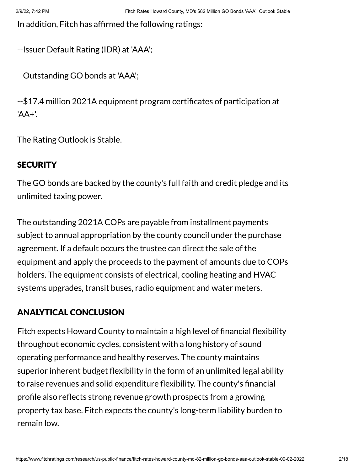In addition, Fitch has affirmed the following ratings:

--Issuer Default Rating (IDR) at 'AAA';

--Outstanding GO bonds at 'AAA';

--\$17.4 million 2021A equipment program certificates of participation at 'AA+'.

The Rating Outlook is Stable.

# **SECURITY**

The GO bonds are backed by the county's full faith and credit pledge and its unlimited taxing power.

The outstanding 2021A COPs are payable from installment payments subject to annual appropriation by the county council under the purchase agreement. If a default occurs the trustee can direct the sale of the equipment and apply the proceeds to the payment of amounts due to COPs holders. The equipment consists of electrical, cooling heating and HVAC systems upgrades, transit buses, radio equipment and water meters.

# ANALYTICAL CONCLUSION

Fitch expects Howard County to maintain a high level of financial flexibility throughout economic cycles, consistent with a long history of sound operating performance and healthy reserves. The county maintains superior inherent budget flexibility in the form of an unlimited legal ability to raise revenues and solid expenditure flexibility. The county's financial profile also reflects strong revenue growth prospects from a growing property tax base. Fitch expects the county's long-term liability burden to remain low.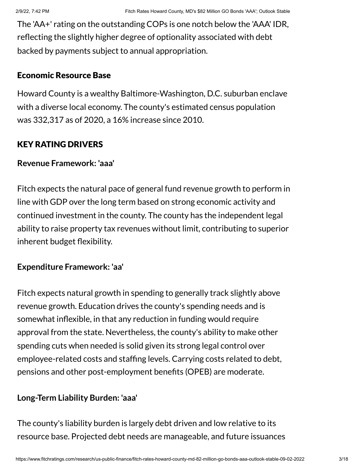The 'AA+' rating on the outstanding COPs is one notch below the 'AAA' IDR, reflecting the slightly higher degree of optionality associated with debt backed by payments subject to annual appropriation.

#### Economic Resource Base

Howard County is a wealthy Baltimore-Washington, D.C. suburban enclave with a diverse local economy. The county's estimated census population was 332,317 as of 2020, a 16% increase since 2010.

# KEY RATING DRIVERS

#### **Revenue Framework: 'aaa'**

Fitch expects the natural pace of general fund revenue growth to perform in line with GDP over the long term based on strong economic activity and continued investment in the county. The county has the independent legal ability to raise property tax revenues without limit, contributing to superior inherent budget flexibility.

#### **Expenditure Framework: 'aa'**

Fitch expects natural growth in spending to generally track slightly above revenue growth. Education drives the county's spending needs and is somewhat inflexible, in that any reduction in funding would require approval from the state. Nevertheless, the county's ability to make other spending cuts when needed is solid given its strong legal control over employee-related costs and staffing levels. Carrying costs related to debt, pensions and other post-employment benefits (OPEB) are moderate.

#### **Long-Term Liability Burden: 'aaa'**

The county's liability burden is largely debt driven and low relative to its resource base. Projected debt needs are manageable, and future issuances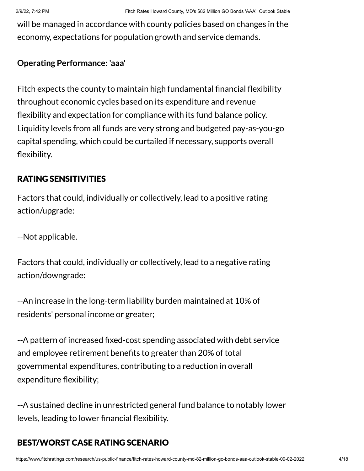will be managed in accordance with county policies based on changes in the economy, expectations for population growth and service demands.

#### **Operating Performance: 'aaa'**

Fitch expects the county to maintain high fundamental financial flexibility throughout economic cycles based on its expenditure and revenue flexibility and expectation for compliance with its fund balance policy. Liquidity levels from all funds are very strong and budgeted pay-as-you-go capital spending, which could be curtailed if necessary, supports overall flexibility.

### RATING SENSITIVITIES

Factors that could, individually or collectively, lead to a positive rating action/upgrade:

--Not applicable.

Factors that could, individually or collectively, lead to a negative rating action/downgrade:

--An increase in the long-term liability burden maintained at 10% of residents' personal income or greater;

--A pattern of increased fixed-cost spending associated with debt service and employee retirement benefits to greater than 20% of total governmental expenditures, contributing to a reduction in overall expenditure flexibility;

--A sustained decline in unrestricted general fund balance to notably lower levels, leading to lower financial flexibility.

# BEST/WORST CASE RATING SCENARIO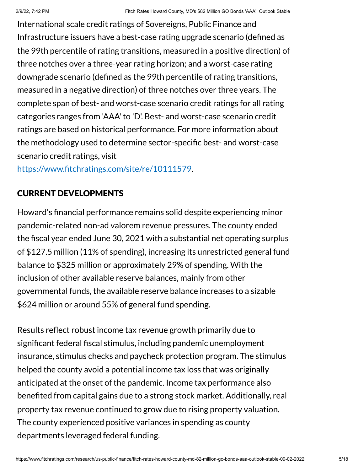International scale credit ratings of Sovereigns, Public Finance and Infrastructure issuers have a best-case rating upgrade scenario (defined as the 99th percentile of rating transitions, measured in a positive direction) of three notches over a three-year rating horizon; and a worst-case rating downgrade scenario (defined as the 99th percentile of rating transitions, measured in a negative direction) of three notches over three years. The complete span of best- and worst-case scenario credit ratings for all rating categories ranges from 'AAA' to 'D'. Best- and worst-case scenario credit ratings are based on historical performance. For more information about the methodology used to determine sector-specific best- and worst-case scenario credit ratings, visit

[https://www.fitchratings.com/site/re/10111579.](https://www.fitchratings.com/site/re/10111579)

# CURRENT DEVELOPMENTS

Howard's financial performance remains solid despite experiencing minor pandemic-related non-ad valorem revenue pressures. The county ended the fiscal year ended June 30, 2021 with a substantial net operating surplus of \$127.5 million (11% of spending), increasing its unrestricted general fund balance to \$325 million or approximately 29% of spending. With the inclusion of other available reserve balances, mainly from other governmental funds, the available reserve balance increases to a sizable \$624 million or around 55% of general fund spending.

Results reflect robust income tax revenue growth primarily due to significant federal fiscal stimulus, including pandemic unemployment insurance, stimulus checks and paycheck protection program. The stimulus helped the county avoid a potential income tax loss that was originally anticipated at the onset of the pandemic. Income tax performance also benefited from capital gains due to a strong stock market. Additionally, real property tax revenue continued to grow due to rising property valuation. The county experienced positive variances in spending as county departments leveraged federal funding.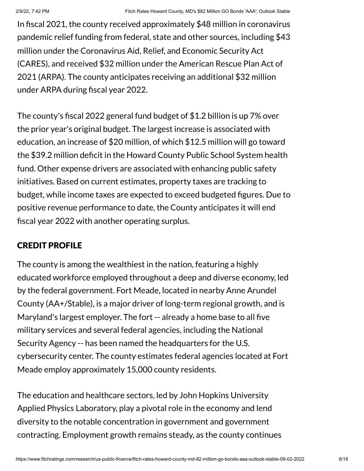In fiscal 2021, the county received approximately \$48 million in coronavirus pandemic relief funding from federal, state and other sources, including \$43 million under the Coronavirus Aid, Relief, and Economic Security Act (CARES), and received \$32 million under the American Rescue Plan Act of 2021 (ARPA). The county anticipates receiving an additional \$32 million under ARPA during fiscal year 2022.

The county's fiscal 2022 general fund budget of \$1.2 billion is up 7% over the prior year's original budget. The largest increase is associated with education, an increase of \$20 million, of which \$12.5 million will go toward the \$39.2 million deficit in the Howard County Public School System health fund. Other expense drivers are associated with enhancing public safety initiatives. Based on current estimates, property taxes are tracking to budget, while income taxes are expected to exceed budgeted figures. Due to positive revenue performance to date, the County anticipates it will end fiscal year 2022 with another operating surplus.

# CREDIT PROFILE

The county is among the wealthiest in the nation, featuring a highly educated workforce employed throughout a deep and diverse economy, led by the federal government. Fort Meade, located in nearby Anne Arundel County (AA+/Stable), is a major driver of long-term regional growth, and is Maryland's largest employer. The fort -- already a home base to all five military services and several federal agencies, including the National Security Agency -- has been named the headquarters for the U.S. cybersecurity center. The county estimates federal agencies located at Fort Meade employ approximately 15,000 county residents.

The education and healthcare sectors, led by John Hopkins University Applied Physics Laboratory, play a pivotal role in the economy and lend diversity to the notable concentration in government and government contracting. Employment growth remains steady, as the county continues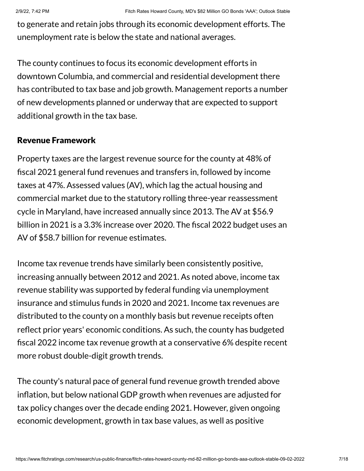to generate and retain jobs through its economic development efforts. The unemployment rate is below the state and national averages.

The county continues to focus its economic development efforts in downtown Columbia, and commercial and residential development there has contributed to tax base and job growth. Management reports a number of new developments planned or underway that are expected to support additional growth in the tax base.

#### Revenue Framework

Property taxes are the largest revenue source for the county at 48% of fiscal 2021 general fund revenues and transfers in, followed by income taxes at 47%. Assessed values (AV), which lag the actual housing and commercial market due to the statutory rolling three-year reassessment cycle in Maryland, have increased annually since 2013. The AV at \$56.9 billion in 2021 is a 3.3% increase over 2020. The fiscal 2022 budget uses an AV of \$58.7 billion for revenue estimates.

Income tax revenue trends have similarly been consistently positive, increasing annually between 2012 and 2021. As noted above, income tax revenue stability was supported by federal funding via unemployment insurance and stimulus funds in 2020 and 2021. Income tax revenues are distributed to the county on a monthly basis but revenue receipts often reflect prior years' economic conditions. As such, the county has budgeted fiscal 2022 income tax revenue growth at a conservative 6% despite recent more robust double-digit growth trends.

The county's natural pace of general fund revenue growth trended above inflation, but below national GDP growth when revenues are adjusted for tax policy changes over the decade ending 2021. However, given ongoing economic development, growth in tax base values, as well as positive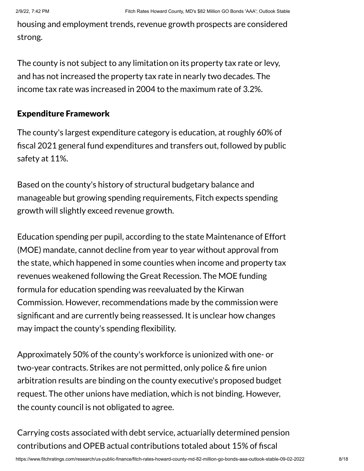housing and employment trends, revenue growth prospects are considered strong.

The county is not subject to any limitation on its property tax rate or levy, and has not increased the property tax rate in nearly two decades. The income tax rate was increased in 2004 to the maximum rate of 3.2%.

### Expenditure Framework

The county's largest expenditure category is education, at roughly 60% of fiscal 2021 general fund expenditures and transfers out, followed by public safety at 11%.

Based on the county's history of structural budgetary balance and manageable but growing spending requirements, Fitch expects spending growth will slightly exceed revenue growth.

Education spending per pupil, according to the state Maintenance of Effort (MOE) mandate, cannot decline from year to year without approval from the state, which happened in some counties when income and property tax revenues weakened following the Great Recession. The MOE funding formula for education spending was reevaluated by the Kirwan Commission. However, recommendations made by the commission were significant and are currently being reassessed. It is unclear how changes may impact the county's spending flexibility.

Approximately 50% of the county's workforce is unionized with one- or two-year contracts. Strikes are not permitted, only police & fire union arbitration results are binding on the county executive's proposed budget request. The other unions have mediation, which is not binding. However, the county council is not obligated to agree.

Carrying costs associated with debt service, actuarially determined pension contributions and OPEB actual contributions totaled about 15% of fiscal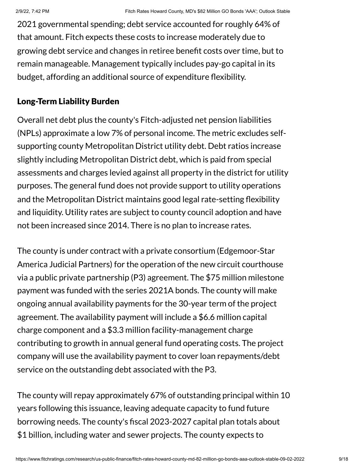2021 governmental spending; debt service accounted for roughly 64% of that amount. Fitch expects these costs to increase moderately due to growing debt service and changes in retiree benefit costs over time, but to remain manageable. Management typically includes pay-go capital in its budget, affording an additional source of expenditure flexibility.

# Long-Term Liability Burden

Overall net debt plus the county's Fitch-adjusted net pension liabilities (NPLs) approximate a low 7% of personal income. The metric excludes selfsupporting county Metropolitan District utility debt. Debt ratios increase slightly including Metropolitan District debt, which is paid from special assessments and charges levied against all property in the district for utility purposes. The general fund does not provide support to utility operations and the Metropolitan District maintains good legal rate-setting flexibility and liquidity. Utility rates are subject to county council adoption and have not been increased since 2014. There is no plan to increase rates.

The county is under contract with a private consortium (Edgemoor-Star America Judicial Partners) for the operation of the new circuit courthouse via a public private partnership (P3) agreement. The \$75 million milestone payment was funded with the series 2021A bonds. The county will make ongoing annual availability payments for the 30-year term of the project agreement. The availability payment will include a \$6.6 million capital charge component and a \$3.3 million facility-management charge contributing to growth in annual general fund operating costs. The project company will use the availability payment to cover loan repayments/debt service on the outstanding debt associated with the P3.

The county will repay approximately 67% of outstanding principal within 10 years following this issuance, leaving adequate capacity to fund future borrowing needs. The county's fiscal 2023-2027 capital plan totals about \$1 billion, including water and sewer projects. The county expects to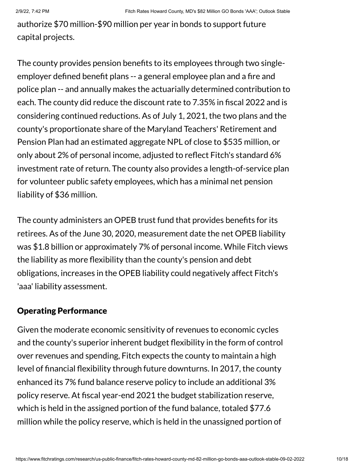authorize \$70 million-\$90 million per year in bonds to support future capital projects.

The county provides pension benefits to its employees through two singleemployer defined benefit plans -- a general employee plan and a fire and police plan -- and annually makes the actuarially determined contribution to each. The county did reduce the discount rate to 7.35% in fiscal 2022 and is considering continued reductions. As of July 1, 2021, the two plans and the county's proportionate share of the Maryland Teachers' Retirement and Pension Plan had an estimated aggregate NPL of close to \$535 million, or only about 2% of personal income, adjusted to reflect Fitch's standard 6% investment rate of return. The county also provides a length-of-service plan for volunteer public safety employees, which has a minimal net pension liability of \$36 million.

The county administers an OPEB trust fund that provides benefits for its retirees. As of the June 30, 2020, measurement date the net OPEB liability was \$1.8 billion or approximately 7% of personal income. While Fitch views the liability as more flexibility than the county's pension and debt obligations, increases in the OPEB liability could negatively affect Fitch's 'aaa' liability assessment.

#### Operating Performance

Given the moderate economic sensitivity of revenues to economic cycles and the county's superior inherent budget flexibility in the form of control over revenues and spending, Fitch expects the county to maintain a high level of financial flexibility through future downturns. In 2017, the county enhanced its 7% fund balance reserve policy to include an additional 3% policy reserve. At fiscal year-end 2021 the budget stabilization reserve, which is held in the assigned portion of the fund balance, totaled \$77.6 million while the policy reserve, which is held in the unassigned portion of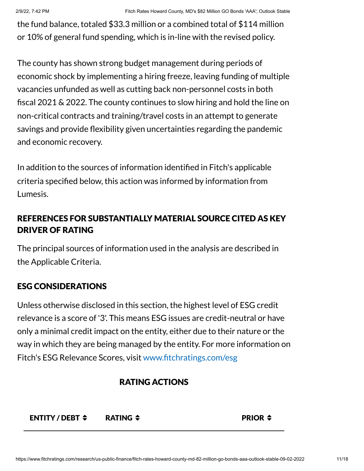the fund balance, totaled \$33.3 million or a combined total of \$114 million or 10% of general fund spending, which is in-line with the revised policy.

The county has shown strong budget management during periods of economic shock by implementing a hiring freeze, leaving funding of multiple vacancies unfunded as well as cutting back non-personnel costs in both fiscal 2021 & 2022. The county continues to slow hiring and hold the line on non-critical contracts and training/travel costs in an attempt to generate savings and provide flexibility given uncertainties regarding the pandemic and economic recovery.

In addition to the sources of information identified in Fitch's applicable criteria specified below, this action was informed by information from Lumesis.

# REFERENCES FOR SUBSTANTIALLY MATERIAL SOURCE CITED AS KEY DRIVER OF RATING

The principal sources of information used in the analysis are described in the Applicable Criteria.

# ESG CONSIDERATIONS

Unless otherwise disclosed in this section, the highest level of ESG credit relevance is a score of '3'. This means ESG issues are credit-neutral or have only a minimal credit impact on the entity, either due to their nature or the way in which they are being managed by the entity. For more information on Fitch's ESG Relevance Scores, visit [www.fitchratings.com/esg](http://www.fitchratings.com/esg)

# RATING ACTIONS

ENTITY / DEBT  $\div$  RATING  $\div$  RATION  $\div$  PRIOR  $\div$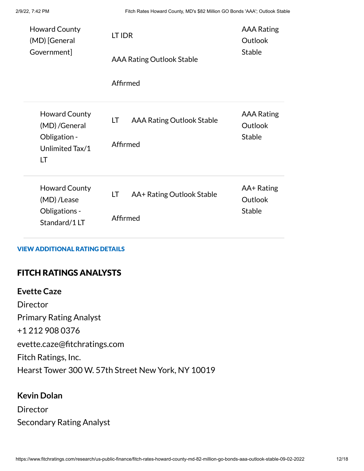| <b>Howard County</b><br>(MD) [General<br>Government]                           | LT IDR<br><b>AAA Rating Outlook Stable</b><br>Affirmed | <b>AAA Rating</b><br>Outlook<br><b>Stable</b> |
|--------------------------------------------------------------------------------|--------------------------------------------------------|-----------------------------------------------|
| <b>Howard County</b><br>(MD) /General<br>Obligation -<br>Unlimited Tax/1<br>LT | LT<br><b>AAA Rating Outlook Stable</b><br>Affirmed     | <b>AAA Rating</b><br>Outlook<br><b>Stable</b> |
| <b>Howard County</b><br>(MD)/Lease<br>Obligations -<br>Standard/1LT            | AA+ Rating Outlook Stable<br>LT<br>Affirmed            | AA+ Rating<br>Outlook<br><b>Stable</b>        |

#### VIEW ADDITIONAL RATING DETAILS

### FITCH RATINGS ANALYSTS

#### **Evette Caze**

**Director** Primary Rating Analyst +1 212 908 0376 evette.caze@fitchratings.com Fitch Ratings, Inc. Hearst Tower 300 W. 57th Street New York, NY 10019

# **Kevin Dolan**

**Director** Secondary Rating Analyst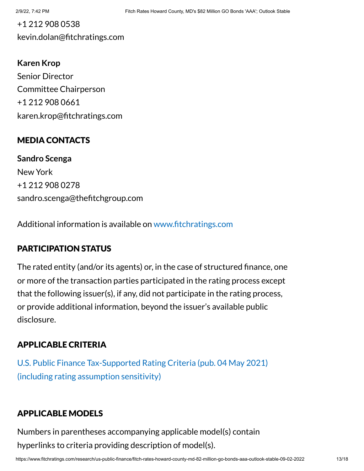+1 212 908 0538 kevin.dolan@fitchratings.com

**Karen Krop** Senior Director Committee Chairperson +1 212 908 0661 karen.krop@fitchratings.com

# MEDIA CONTACTS

**Sandro Scenga** New York +1 212 908 0278 sandro.scenga@thefitchgroup.com

Additional information is available on [www.fitchratings.com](http://www.fitchratings.com/)

# PARTICIPATION STATUS

The rated entity (and/or its agents) or, in the case of structured finance, one or more of the transaction parties participated in the rating process except that the following issuer(s), if any, did not participate in the rating process, or provide additional information, beyond the issuer's available public disclosure.

# APPLICABLE CRITERIA

U.S. Public Finance [Tax-Supported Rating](https://www.fitchratings.com/research/us-public-finance/us-public-finance-tax-supported-rating-criteria-04-05-2021) Criteria (pub. 04 May 2021) (including rating assumption sensitivity)

# APPLICABLE MODELS

Numbers in parentheses accompanying applicable model(s) contain hyperlinks to criteria providing description of model(s).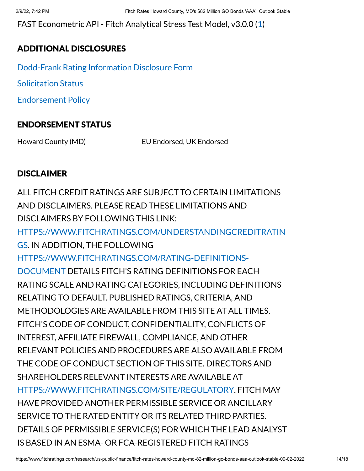FAST Econometric API - Fitch Analytical Stress Test Model, v3.0.0 ([1](https://www.fitchratings.com/research/us-public-finance/us-public-finance-tax-supported-rating-criteria-04-05-2021))

#### ADDITIONAL DISCLOSURES

[Dodd-Frank](https://www.fitchratings.com/research/us-public-finance/fitch-rates-howard-county-md-82-million-go-bonds-aaa-outlook-stable-09-02-2022/dodd-frank-disclosure) Rating Information Disclosure Form

Solicitation Status

[Endorsement](#page-17-0) Policy

### ENDORSEMENT STATUS

Howard County (MD) EU Endorsed, UK Endorsed

#### DISCLAIMER

ALL FITCH CREDIT RATINGS ARE SUBJECT TO CERTAIN LIMITATIONS AND DISCLAIMERS. PLEASE READ THESE LIMITATIONS AND DISCLAIMERS BY FOLLOWING THIS LINK: [HTTPS://WWW.FITCHRATINGS.COM/UNDERSTANDINGCREDITRATIN](https://www.fitchratings.com/UNDERSTANDINGCREDITRATINGS) GS. IN ADDITION, THE FOLLOWING [HTTPS://WWW.FITCHRATINGS.COM/RATING-DEFINITIONS-](https://www.fitchratings.com/rating-definitions-document)DOCUMENT DETAILS FITCH'S RATING DEFINITIONS FOR EACH RATING SCALE AND RATING CATEGORIES, INCLUDING DEFINITIONS RELATING TO DEFAULT. PUBLISHED RATINGS, CRITERIA, AND METHODOLOGIES ARE AVAILABLE FROM THIS SITE AT ALL TIMES. FITCH'S CODE OF CONDUCT, CONFIDENTIALITY, CONFLICTS OF INTEREST, AFFILIATE FIREWALL, COMPLIANCE, AND OTHER RELEVANT POLICIES AND PROCEDURES ARE ALSO AVAILABLE FROM THE CODE OF CONDUCT SECTION OF THIS SITE. DIRECTORS AND SHAREHOLDERS RELEVANT INTERESTS ARE AVAILABLE AT [HTTPS://WWW.FITCHRATINGS.COM/SITE/REGULATORY](https://www.fitchratings.com/site/regulatory). FITCH MAY HAVE PROVIDED ANOTHER PERMISSIBLE SERVICE OR ANCILLARY SERVICE TO THE RATED ENTITY OR ITS RELATED THIRD PARTIES. DETAILS OF PERMISSIBLE SERVICE(S) FOR WHICH THE LEAD ANALYST IS BASED IN AN ESMA- OR FCA-REGISTERED FITCH RATINGS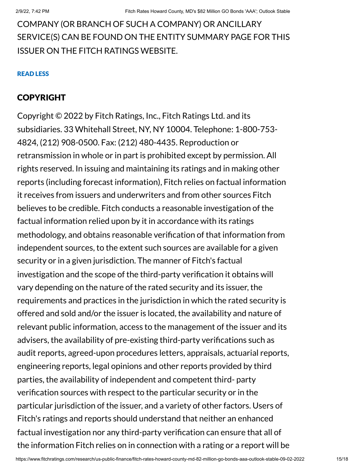COMPANY (OR BRANCH OF SUCH A COMPANY) OR ANCILLARY SERVICE(S) CAN BE FOUND ON THE ENTITY SUMMARY PAGE FOR THIS ISSUER ON THE FITCH RATINGS WEBSITE.

#### READ LESS

#### **COPYRIGHT**

Copyright © 2022 by Fitch Ratings, Inc., Fitch Ratings Ltd. and its subsidiaries. 33 Whitehall Street, NY, NY 10004. Telephone: 1-800-753- 4824, (212) 908-0500. Fax: (212) 480-4435. Reproduction or retransmission in whole or in part is prohibited except by permission. All rights reserved. In issuing and maintaining its ratings and in making other reports (including forecast information), Fitch relies on factual information it receives from issuers and underwriters and from other sources Fitch believes to be credible. Fitch conducts a reasonable investigation of the factual information relied upon by it in accordance with its ratings methodology, and obtains reasonable verification of that information from independent sources, to the extent such sources are available for a given security or in a given jurisdiction. The manner of Fitch's factual investigation and the scope of the third-party verification it obtains will vary depending on the nature of the rated security and its issuer, the requirements and practices in the jurisdiction in which the rated security is offered and sold and/or the issuer is located, the availability and nature of relevant public information, access to the management of the issuer and its advisers, the availability of pre-existing third-party verifications such as audit reports, agreed-upon procedures letters, appraisals, actuarial reports, engineering reports, legal opinions and other reports provided by third parties, the availability of independent and competent third- party verification sources with respect to the particular security or in the particular jurisdiction of the issuer, and a variety of other factors. Users of Fitch's ratings and reports should understand that neither an enhanced factual investigation nor any third-party verification can ensure that all of the information Fitch relies on in connection with a rating or a report will be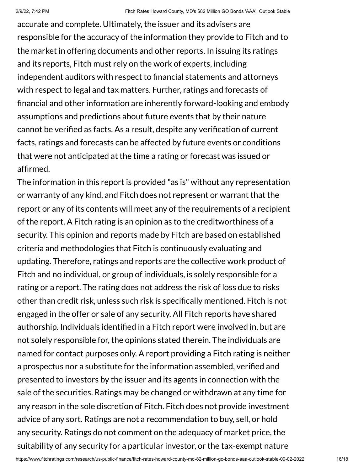accurate and complete. Ultimately, the issuer and its advisers are responsible for the accuracy of the information they provide to Fitch and to the market in offering documents and other reports. In issuing its ratings and its reports, Fitch must rely on the work of experts, including independent auditors with respect to financial statements and attorneys with respect to legal and tax matters. Further, ratings and forecasts of financial and other information are inherently forward-looking and embody assumptions and predictions about future events that by their nature cannot be verified as facts. As a result, despite any verification of current facts, ratings and forecasts can be affected by future events or conditions that were not anticipated at the time a rating or forecast was issued or affirmed.

The information in this report is provided "as is" without any representation or warranty of any kind, and Fitch does not represent or warrant that the report or any of its contents will meet any of the requirements of a recipient of the report. A Fitch rating is an opinion as to the creditworthiness of a security. This opinion and reports made by Fitch are based on established criteria and methodologies that Fitch is continuously evaluating and updating. Therefore, ratings and reports are the collective work product of Fitch and no individual, or group of individuals, is solely responsible for a rating or a report. The rating does not address the risk of loss due to risks other than credit risk, unless such risk is specifically mentioned. Fitch is not engaged in the offer or sale of any security. All Fitch reports have shared authorship. Individuals identified in a Fitch report were involved in, but are not solely responsible for, the opinions stated therein. The individuals are named for contact purposes only. A report providing a Fitch rating is neither a prospectus nor a substitute for the information assembled, verified and presented to investors by the issuer and its agents in connection with the sale of the securities. Ratings may be changed or withdrawn at any time for any reason in the sole discretion of Fitch. Fitch does not provide investment advice of any sort. Ratings are not a recommendation to buy, sell, or hold any security. Ratings do not comment on the adequacy of market price, the suitability of any security for a particular investor, or the tax-exempt nature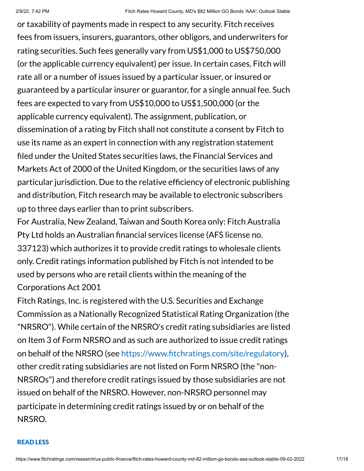or taxability of payments made in respect to any security. Fitch receives fees from issuers, insurers, guarantors, other obligors, and underwriters for rating securities. Such fees generally vary from US\$1,000 to US\$750,000 (or the applicable currency equivalent) per issue. In certain cases, Fitch will rate all or a number of issues issued by a particular issuer, or insured or guaranteed by a particular insurer or guarantor, for a single annual fee. Such fees are expected to vary from US\$10,000 to US\$1,500,000 (or the applicable currency equivalent). The assignment, publication, or dissemination of a rating by Fitch shall not constitute a consent by Fitch to use its name as an expert in connection with any registration statement filed under the United States securities laws, the Financial Services and Markets Act of 2000 of the United Kingdom, or the securities laws of any particular jurisdiction. Due to the relative efficiency of electronic publishing and distribution, Fitch research may be available to electronic subscribers up to three days earlier than to print subscribers.

For Australia, New Zealand, Taiwan and South Korea only: Fitch Australia Pty Ltd holds an Australian financial services license (AFS license no. 337123) which authorizes it to provide credit ratings to wholesale clients only. Credit ratings information published by Fitch is not intended to be used by persons who are retail clients within the meaning of the Corporations Act 2001

Fitch Ratings, Inc. is registered with the U.S. Securities and Exchange Commission as a Nationally Recognized Statistical Rating Organization (the "NRSRO"). While certain of the NRSRO's credit rating subsidiaries are listed on Item 3 of Form NRSRO and as such are authorized to issue credit ratings on behalf of the NRSRO (see <https://www.fitchratings.com/site/regulatory>), other credit rating subsidiaries are not listed on Form NRSRO (the "non-NRSROs") and therefore credit ratings issued by those subsidiaries are not issued on behalf of the NRSRO. However, non-NRSRO personnel may participate in determining credit ratings issued by or on behalf of the NRSRO.

#### READ LESS